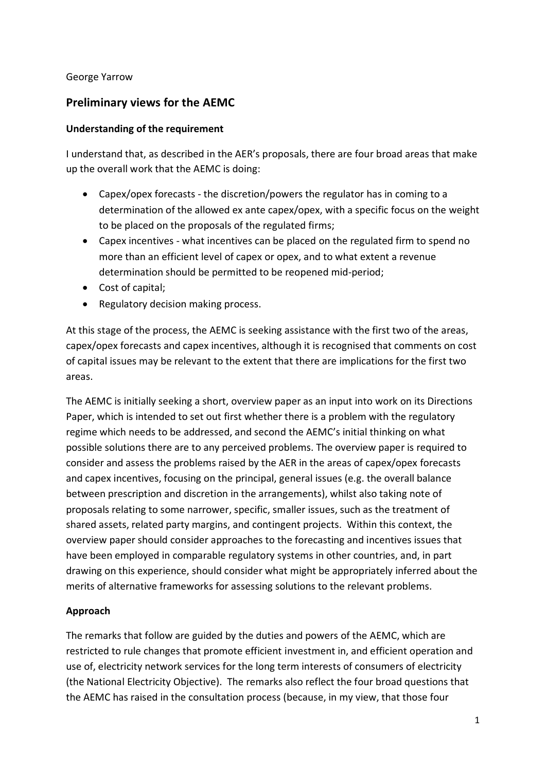#### George Yarrow

# **Preliminary views for the AEMC**

### **Understanding of the requirement**

I understand that, as described in the AER's proposals, there are four broad areas that make up the overall work that the AEMC is doing:

- Capex/opex forecasts the discretion/powers the regulator has in coming to a determination of the allowed ex ante capex/opex, with a specific focus on the weight to be placed on the proposals of the regulated firms;
- Capex incentives what incentives can be placed on the regulated firm to spend no more than an efficient level of capex or opex, and to what extent a revenue determination should be permitted to be reopened mid-period;
- Cost of capital;
- Regulatory decision making process.

At this stage of the process, the AEMC is seeking assistance with the first two of the areas, capex/opex forecasts and capex incentives, although it is recognised that comments on cost of capital issues may be relevant to the extent that there are implications for the first two areas.

The AEMC is initially seeking a short, overview paper as an input into work on its Directions Paper, which is intended to set out first whether there is a problem with the regulatory regime which needs to be addressed, and second the AEMC's initial thinking on what possible solutions there are to any perceived problems. The overview paper is required to consider and assess the problems raised by the AER in the areas of capex/opex forecasts and capex incentives, focusing on the principal, general issues (e.g. the overall balance between prescription and discretion in the arrangements), whilst also taking note of proposals relating to some narrower, specific, smaller issues, such as the treatment of shared assets, related party margins, and contingent projects. Within this context, the overview paper should consider approaches to the forecasting and incentives issues that have been employed in comparable regulatory systems in other countries, and, in part drawing on this experience, should consider what might be appropriately inferred about the merits of alternative frameworks for assessing solutions to the relevant problems.

# **Approach**

The remarks that follow are guided by the duties and powers of the AEMC, which are restricted to rule changes that promote efficient investment in, and efficient operation and use of, electricity network services for the long term interests of consumers of electricity (the National Electricity Objective). The remarks also reflect the four broad questions that the AEMC has raised in the consultation process (because, in my view, that those four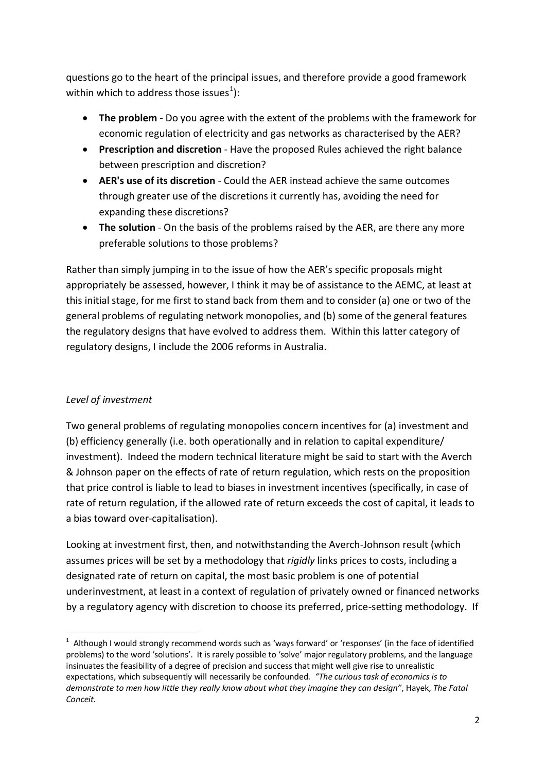questions go to the heart of the principal issues, and therefore provide a good framework within which to address those issues<sup>[1](#page-1-0)</sup>):

- **The problem**  Do you agree with the extent of the problems with the framework for economic regulation of electricity and gas networks as characterised by the AER?
- **Prescription and discretion** Have the proposed Rules achieved the right balance between prescription and discretion?
- **AER's use of its discretion**  Could the AER instead achieve the same outcomes through greater use of the discretions it currently has, avoiding the need for expanding these discretions?
- **The solution**  On the basis of the problems raised by the AER, are there any more preferable solutions to those problems?

Rather than simply jumping in to the issue of how the AER's specific proposals might appropriately be assessed, however, I think it may be of assistance to the AEMC, at least at this initial stage, for me first to stand back from them and to consider (a) one or two of the general problems of regulating network monopolies, and (b) some of the general features the regulatory designs that have evolved to address them. Within this latter category of regulatory designs, I include the 2006 reforms in Australia.

# *Level of investment*

Two general problems of regulating monopolies concern incentives for (a) investment and (b) efficiency generally (i.e. both operationally and in relation to capital expenditure/ investment). Indeed the modern technical literature might be said to start with the Averch & Johnson paper on the effects of rate of return regulation, which rests on the proposition that price control is liable to lead to biases in investment incentives (specifically, in case of rate of return regulation, if the allowed rate of return exceeds the cost of capital, it leads to a bias toward over-capitalisation).

Looking at investment first, then, and notwithstanding the Averch-Johnson result (which assumes prices will be set by a methodology that *rigidly* links prices to costs, including a designated rate of return on capital, the most basic problem is one of potential underinvestment, at least in a context of regulation of privately owned or financed networks by a regulatory agency with discretion to choose its preferred, price-setting methodology. If

<span id="page-1-0"></span> $\frac{1}{1}$  $1$  Although I would strongly recommend words such as 'ways forward' or 'responses' (in the face of identified problems) to the word 'solutions'. It is rarely possible to 'solve' major regulatory problems, and the language insinuates the feasibility of a degree of precision and success that might well give rise to unrealistic expectations, which subsequently will necessarily be confounded*. "The curious task of economics is to demonstrate to men how little they really know about what they imagine they can design"*, Hayek, *The Fatal Conceit.*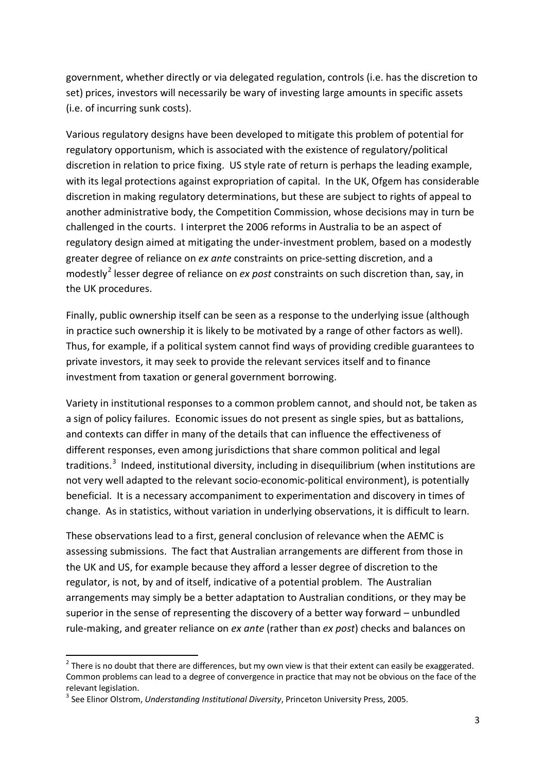government, whether directly or via delegated regulation, controls (i.e. has the discretion to set) prices, investors will necessarily be wary of investing large amounts in specific assets (i.e. of incurring sunk costs).

Various regulatory designs have been developed to mitigate this problem of potential for regulatory opportunism, which is associated with the existence of regulatory/political discretion in relation to price fixing. US style rate of return is perhaps the leading example, with its legal protections against expropriation of capital. In the UK, Ofgem has considerable discretion in making regulatory determinations, but these are subject to rights of appeal to another administrative body, the Competition Commission, whose decisions may in turn be challenged in the courts. I interpret the 2006 reforms in Australia to be an aspect of regulatory design aimed at mitigating the under-investment problem, based on a modestly greater degree of reliance on *ex ante* constraints on price-setting discretion, and a modestly[2](#page-2-0) lesser degree of reliance on *ex post* constraints on such discretion than, say, in the UK procedures.

Finally, public ownership itself can be seen as a response to the underlying issue (although in practice such ownership it is likely to be motivated by a range of other factors as well). Thus, for example, if a political system cannot find ways of providing credible guarantees to private investors, it may seek to provide the relevant services itself and to finance investment from taxation or general government borrowing.

Variety in institutional responses to a common problem cannot, and should not, be taken as a sign of policy failures. Economic issues do not present as single spies, but as battalions, and contexts can differ in many of the details that can influence the effectiveness of different responses, even among jurisdictions that share common political and legal traditions.<sup>[3](#page-2-1)</sup> Indeed, institutional diversity, including in disequilibrium (when institutions are not very well adapted to the relevant socio-economic-political environment), is potentially beneficial. It is a necessary accompaniment to experimentation and discovery in times of change. As in statistics, without variation in underlying observations, it is difficult to learn.

These observations lead to a first, general conclusion of relevance when the AEMC is assessing submissions. The fact that Australian arrangements are different from those in the UK and US, for example because they afford a lesser degree of discretion to the regulator, is not, by and of itself, indicative of a potential problem. The Australian arrangements may simply be a better adaptation to Australian conditions, or they may be superior in the sense of representing the discovery of a better way forward – unbundled rule-making, and greater reliance on *ex ante* (rather than *ex post*) checks and balances on

<span id="page-2-0"></span> $2$  There is no doubt that there are differences, but my own view is that their extent can easily be exaggerated. Common problems can lead to a degree of convergence in practice that may not be obvious on the face of the relevant legislation.<br><sup>3</sup> See Elinor Olstrom, *Understanding Institutional Diversity*, Princeton University Press, 2005.

<span id="page-2-1"></span>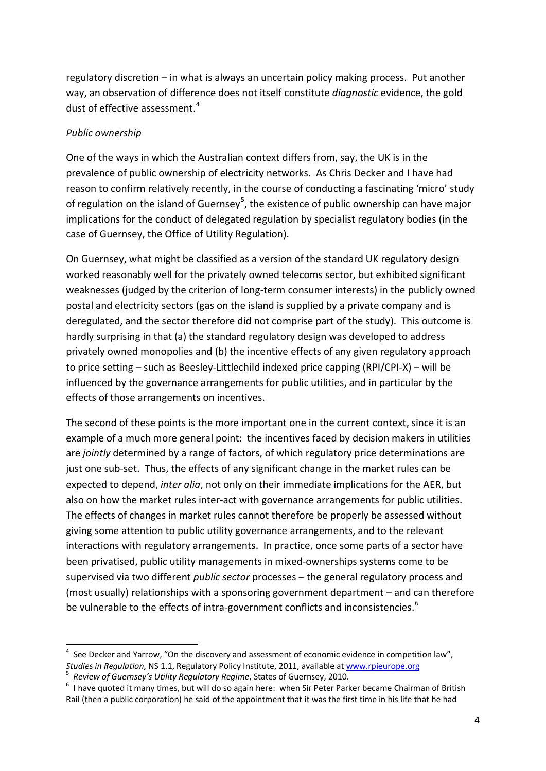regulatory discretion – in what is always an uncertain policy making process. Put another way, an observation of difference does not itself constitute *diagnostic* evidence, the gold dust of effective assessment.<sup>[4](#page-3-0)</sup>

#### *Public ownership*

One of the ways in which the Australian context differs from, say, the UK is in the prevalence of public ownership of electricity networks. As Chris Decker and I have had reason to confirm relatively recently, in the course of conducting a fascinating 'micro' study of regulation on the island of Guernsey<sup>[5](#page-3-1)</sup>, the existence of public ownership can have major implications for the conduct of delegated regulation by specialist regulatory bodies (in the case of Guernsey, the Office of Utility Regulation).

On Guernsey, what might be classified as a version of the standard UK regulatory design worked reasonably well for the privately owned telecoms sector, but exhibited significant weaknesses (judged by the criterion of long-term consumer interests) in the publicly owned postal and electricity sectors (gas on the island is supplied by a private company and is deregulated, and the sector therefore did not comprise part of the study). This outcome is hardly surprising in that (a) the standard regulatory design was developed to address privately owned monopolies and (b) the incentive effects of any given regulatory approach to price setting – such as Beesley-Littlechild indexed price capping (RPI/CPI-X) – will be influenced by the governance arrangements for public utilities, and in particular by the effects of those arrangements on incentives.

The second of these points is the more important one in the current context, since it is an example of a much more general point: the incentives faced by decision makers in utilities are *jointly* determined by a range of factors, of which regulatory price determinations are just one sub-set. Thus, the effects of any significant change in the market rules can be expected to depend, *inter alia*, not only on their immediate implications for the AER, but also on how the market rules inter-act with governance arrangements for public utilities. The effects of changes in market rules cannot therefore be properly be assessed without giving some attention to public utility governance arrangements, and to the relevant interactions with regulatory arrangements. In practice, once some parts of a sector have been privatised, public utility managements in mixed-ownerships systems come to be supervised via two different *public sector* processes – the general regulatory process and (most usually) relationships with a sponsoring government department – and can therefore be vulnerable to the effects of intra-government conflicts and inconsistencies.<sup>[6](#page-3-2)</sup>

<span id="page-3-0"></span> <sup>4</sup> See Decker and Yarrow, "On the discovery and assessment of economic evidence in competition law", *Studies in Regulation,* NS 1.1, Regulatory Policy Institute, 2011, available a[t www.rpieurope.org](http://www.rpieurope.org/) <sup>5</sup>

<span id="page-3-1"></span><sup>&</sup>lt;sup>5</sup> Review of Guernsey's Utility Regulatory Regime, States of Guernsey, 2010.

<span id="page-3-2"></span> $6$  I have quoted it many times, but will do so again here: when Sir Peter Parker became Chairman of British Rail (then a public corporation) he said of the appointment that it was the first time in his life that he had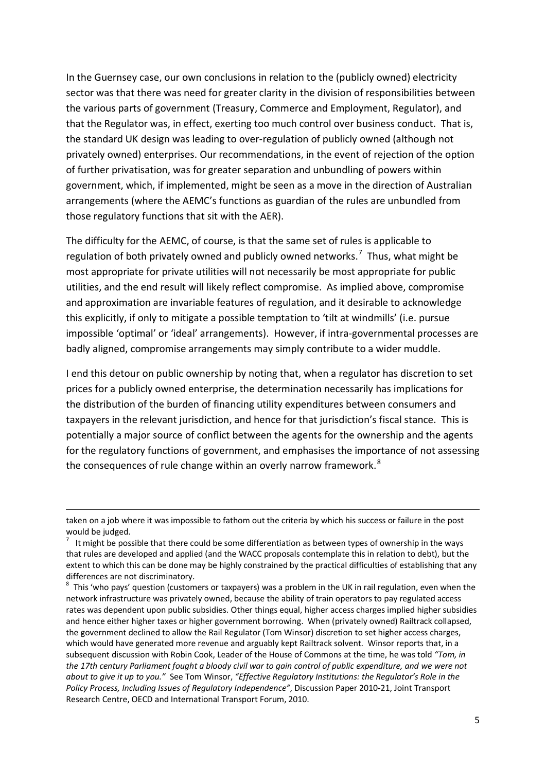In the Guernsey case, our own conclusions in relation to the (publicly owned) electricity sector was that there was need for greater clarity in the division of responsibilities between the various parts of government (Treasury, Commerce and Employment, Regulator), and that the Regulator was, in effect, exerting too much control over business conduct. That is, the standard UK design was leading to over-regulation of publicly owned (although not privately owned) enterprises. Our recommendations, in the event of rejection of the option of further privatisation, was for greater separation and unbundling of powers within government, which, if implemented, might be seen as a move in the direction of Australian arrangements (where the AEMC's functions as guardian of the rules are unbundled from those regulatory functions that sit with the AER).

The difficulty for the AEMC, of course, is that the same set of rules is applicable to regulation of both privately owned and publicly owned networks.<sup>[7](#page-4-0)</sup> Thus, what might be most appropriate for private utilities will not necessarily be most appropriate for public utilities, and the end result will likely reflect compromise. As implied above, compromise and approximation are invariable features of regulation, and it desirable to acknowledge this explicitly, if only to mitigate a possible temptation to 'tilt at windmills' (i.e. pursue impossible 'optimal' or 'ideal' arrangements). However, if intra-governmental processes are badly aligned, compromise arrangements may simply contribute to a wider muddle.

I end this detour on public ownership by noting that, when a regulator has discretion to set prices for a publicly owned enterprise, the determination necessarily has implications for the distribution of the burden of financing utility expenditures between consumers and taxpayers in the relevant jurisdiction, and hence for that jurisdiction's fiscal stance. This is potentially a major source of conflict between the agents for the ownership and the agents for the regulatory functions of government, and emphasises the importance of not assessing the consequences of rule change within an overly narrow framework.<sup>[8](#page-4-1)</sup>

**.** 

taken on a job where it was impossible to fathom out the criteria by which his success or failure in the post would be judged.

<span id="page-4-0"></span>It might be possible that there could be some differentiation as between types of ownership in the ways that rules are developed and applied (and the WACC proposals contemplate this in relation to debt), but the extent to which this can be done may be highly constrained by the practical difficulties of establishing that any differences are not discriminatory.

<span id="page-4-1"></span> $8$  This 'who pays' question (customers or taxpayers) was a problem in the UK in rail regulation, even when the network infrastructure was privately owned, because the ability of train operators to pay regulated access rates was dependent upon public subsidies. Other things equal, higher access charges implied higher subsidies and hence either higher taxes or higher government borrowing. When (privately owned) Railtrack collapsed, the government declined to allow the Rail Regulator (Tom Winsor) discretion to set higher access charges, which would have generated more revenue and arguably kept Railtrack solvent. Winsor reports that, in a subsequent discussion with Robin Cook, Leader of the House of Commons at the time, he was told *"Tom, in the 17th century Parliament fought a bloody civil war to gain control of public expenditure, and we were not about to give it up to you."* See Tom Winsor, *"Effective Regulatory Institutions: the Regulator's Role in the Policy Process, Including Issues of Regulatory Independence"*, Discussion Paper 2010-21, Joint Transport Research Centre, OECD and International Transport Forum, 2010.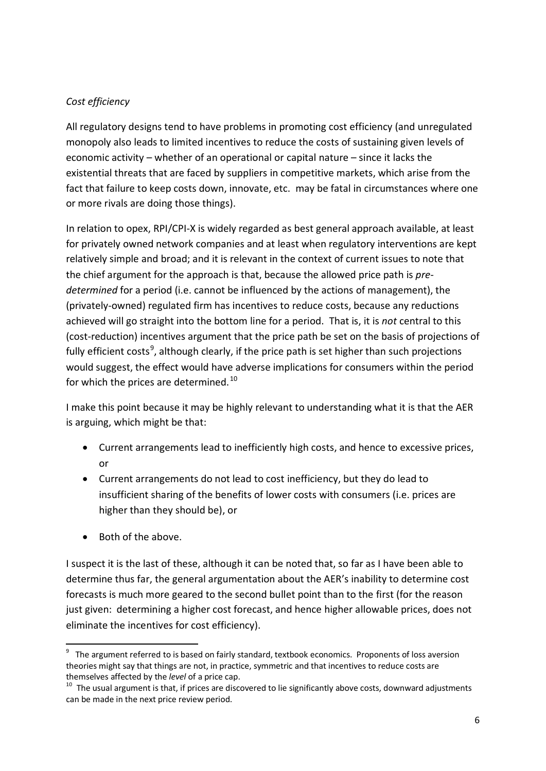# *Cost efficiency*

All regulatory designs tend to have problems in promoting cost efficiency (and unregulated monopoly also leads to limited incentives to reduce the costs of sustaining given levels of economic activity – whether of an operational or capital nature – since it lacks the existential threats that are faced by suppliers in competitive markets, which arise from the fact that failure to keep costs down, innovate, etc. may be fatal in circumstances where one or more rivals are doing those things).

In relation to opex, RPI/CPI-X is widely regarded as best general approach available, at least for privately owned network companies and at least when regulatory interventions are kept relatively simple and broad; and it is relevant in the context of current issues to note that the chief argument for the approach is that, because the allowed price path is *predetermined* for a period (i.e. cannot be influenced by the actions of management), the (privately-owned) regulated firm has incentives to reduce costs, because any reductions achieved will go straight into the bottom line for a period. That is, it is *not* central to this (cost-reduction) incentives argument that the price path be set on the basis of projections of fully efficient costs<sup>[9](#page-5-0)</sup>, although clearly, if the price path is set higher than such projections would suggest, the effect would have adverse implications for consumers within the period for which the prices are determined.<sup>[10](#page-5-1)</sup>

I make this point because it may be highly relevant to understanding what it is that the AER is arguing, which might be that:

- Current arrangements lead to inefficiently high costs, and hence to excessive prices, or
- Current arrangements do not lead to cost inefficiency, but they do lead to insufficient sharing of the benefits of lower costs with consumers (i.e. prices are higher than they should be), or
- Both of the above.

I suspect it is the last of these, although it can be noted that, so far as I have been able to determine thus far, the general argumentation about the AER's inability to determine cost forecasts is much more geared to the second bullet point than to the first (for the reason just given: determining a higher cost forecast, and hence higher allowable prices, does not eliminate the incentives for cost efficiency).

<span id="page-5-0"></span><sup>-&</sup>lt;br>9  $9$  The argument referred to is based on fairly standard, textbook economics. Proponents of loss aversion theories might say that things are not, in practice, symmetric and that incentives to reduce costs are themselves affected by the *level* of a price cap.

<span id="page-5-1"></span><sup>&</sup>lt;sup>10</sup> The usual argument is that, if prices are discovered to lie significantly above costs, downward adjustments can be made in the next price review period.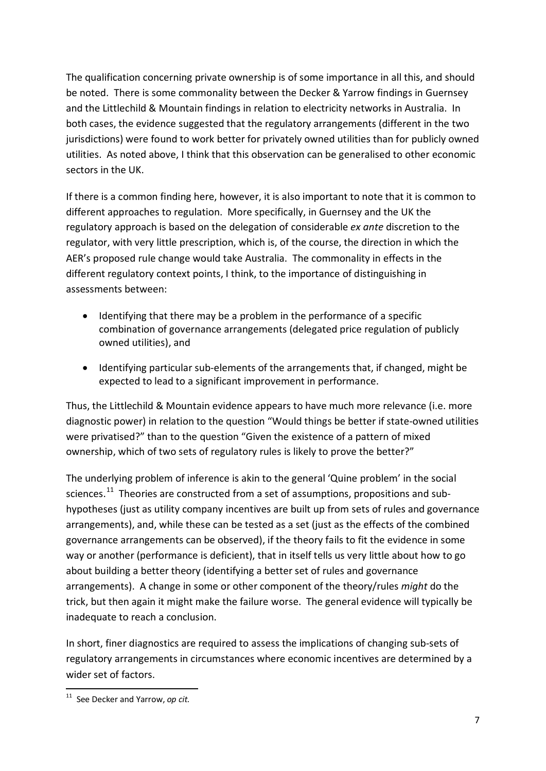The qualification concerning private ownership is of some importance in all this, and should be noted. There is some commonality between the Decker & Yarrow findings in Guernsey and the Littlechild & Mountain findings in relation to electricity networks in Australia. In both cases, the evidence suggested that the regulatory arrangements (different in the two jurisdictions) were found to work better for privately owned utilities than for publicly owned utilities. As noted above, I think that this observation can be generalised to other economic sectors in the UK.

If there is a common finding here, however, it is also important to note that it is common to different approaches to regulation. More specifically, in Guernsey and the UK the regulatory approach is based on the delegation of considerable *ex ante* discretion to the regulator, with very little prescription, which is, of the course, the direction in which the AER's proposed rule change would take Australia. The commonality in effects in the different regulatory context points, I think, to the importance of distinguishing in assessments between:

- Identifying that there may be a problem in the performance of a specific combination of governance arrangements (delegated price regulation of publicly owned utilities), and
- Identifying particular sub-elements of the arrangements that, if changed, might be expected to lead to a significant improvement in performance.

Thus, the Littlechild & Mountain evidence appears to have much more relevance (i.e. more diagnostic power) in relation to the question "Would things be better if state-owned utilities were privatised?" than to the question "Given the existence of a pattern of mixed ownership, which of two sets of regulatory rules is likely to prove the better?"

The underlying problem of inference is akin to the general 'Quine problem' in the social sciences.<sup>[11](#page-6-0)</sup> Theories are constructed from a set of assumptions, propositions and subhypotheses (just as utility company incentives are built up from sets of rules and governance arrangements), and, while these can be tested as a set (just as the effects of the combined governance arrangements can be observed), if the theory fails to fit the evidence in some way or another (performance is deficient), that in itself tells us very little about how to go about building a better theory (identifying a better set of rules and governance arrangements). A change in some or other component of the theory/rules *might* do the trick, but then again it might make the failure worse. The general evidence will typically be inadequate to reach a conclusion.

In short, finer diagnostics are required to assess the implications of changing sub-sets of regulatory arrangements in circumstances where economic incentives are determined by a wider set of factors.

<span id="page-6-0"></span> <sup>11</sup> See Decker and Yarrow, *op cit.*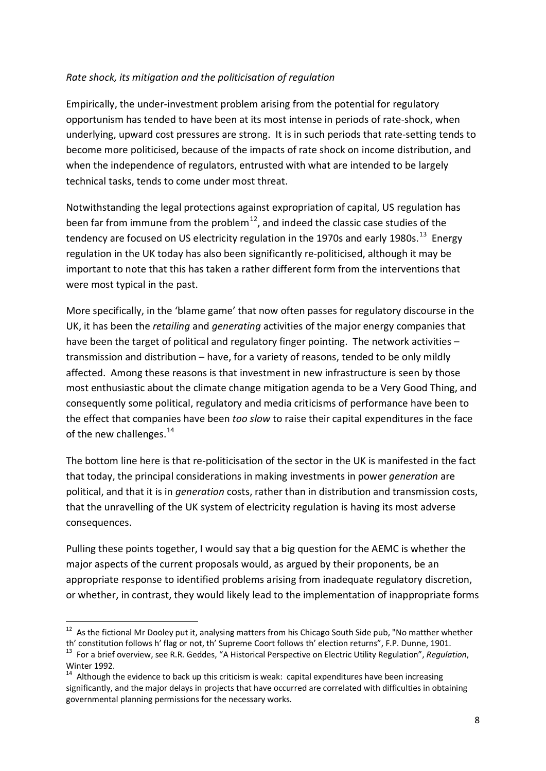### *Rate shock, its mitigation and the politicisation of regulation*

Empirically, the under-investment problem arising from the potential for regulatory opportunism has tended to have been at its most intense in periods of rate-shock, when underlying, upward cost pressures are strong. It is in such periods that rate-setting tends to become more politicised, because of the impacts of rate shock on income distribution, and when the independence of regulators, entrusted with what are intended to be largely technical tasks, tends to come under most threat.

Notwithstanding the legal protections against expropriation of capital, US regulation has been far from immune from the problem<sup>12</sup>, and indeed the classic case studies of the tendency are focused on US electricity regulation in the 1970s and early 1980s.<sup>13</sup> Energy regulation in the UK today has also been significantly re-politicised, although it may be important to note that this has taken a rather different form from the interventions that were most typical in the past.

More specifically, in the 'blame game' that now often passes for regulatory discourse in the UK, it has been the *retailing* and *generating* activities of the major energy companies that have been the target of political and regulatory finger pointing. The network activities transmission and distribution – have, for a variety of reasons, tended to be only mildly affected. Among these reasons is that investment in new infrastructure is seen by those most enthusiastic about the climate change mitigation agenda to be a Very Good Thing, and consequently some political, regulatory and media criticisms of performance have been to the effect that companies have been *too slow* to raise their capital expenditures in the face of the new challenges. $^{14}$  $^{14}$  $^{14}$ 

The bottom line here is that re-politicisation of the sector in the UK is manifested in the fact that today, the principal considerations in making investments in power *generation* are political, and that it is in *generation* costs, rather than in distribution and transmission costs, that the unravelling of the UK system of electricity regulation is having its most adverse consequences.

Pulling these points together, I would say that a big question for the AEMC is whether the major aspects of the current proposals would, as argued by their proponents, be an appropriate response to identified problems arising from inadequate regulatory discretion, or whether, in contrast, they would likely lead to the implementation of inappropriate forms

<span id="page-7-0"></span><sup>&</sup>lt;sup>12</sup> As the fictional Mr Dooley put it, analysing matters from his Chicago South Side pub, "No matther whether th' constitution follows h' flag or not, th' Supreme Coort follows th' election returns", F.P. Dunne, 1901.

<span id="page-7-1"></span><sup>&</sup>lt;sup>13</sup> For a brief overview, see R.R. Geddes, "A Historical Perspective on Electric Utility Regulation", Regulation, Winter 1992.

<span id="page-7-2"></span> $14$  Although the evidence to back up this criticism is weak: capital expenditures have been increasing significantly, and the major delays in projects that have occurred are correlated with difficulties in obtaining governmental planning permissions for the necessary works.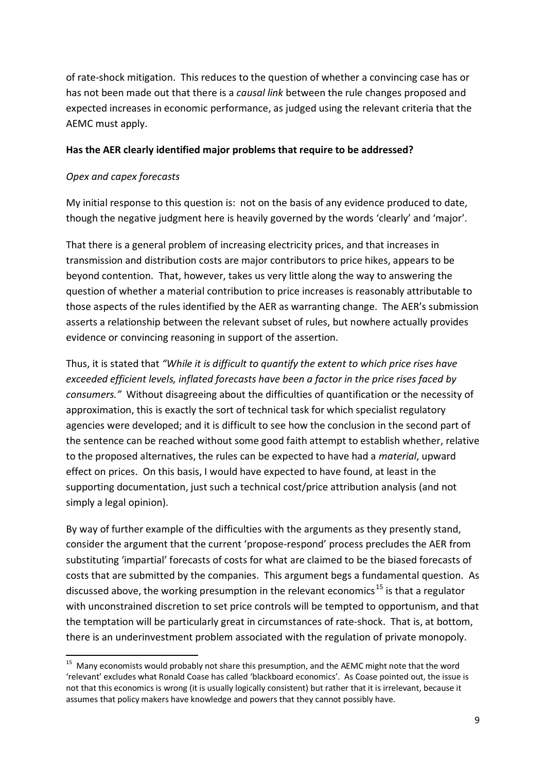of rate-shock mitigation. This reduces to the question of whether a convincing case has or has not been made out that there is a *causal link* between the rule changes proposed and expected increases in economic performance, as judged using the relevant criteria that the AEMC must apply.

#### **Has the AER clearly identified major problems that require to be addressed?**

### *Opex and capex forecasts*

My initial response to this question is: not on the basis of any evidence produced to date, though the negative judgment here is heavily governed by the words 'clearly' and 'major'.

That there is a general problem of increasing electricity prices, and that increases in transmission and distribution costs are major contributors to price hikes, appears to be beyond contention. That, however, takes us very little along the way to answering the question of whether a material contribution to price increases is reasonably attributable to those aspects of the rules identified by the AER as warranting change. The AER's submission asserts a relationship between the relevant subset of rules, but nowhere actually provides evidence or convincing reasoning in support of the assertion.

Thus, it is stated that *"While it is difficult to quantify the extent to which price rises have exceeded efficient levels, inflated forecasts have been a factor in the price rises faced by consumers."* Without disagreeing about the difficulties of quantification or the necessity of approximation, this is exactly the sort of technical task for which specialist regulatory agencies were developed; and it is difficult to see how the conclusion in the second part of the sentence can be reached without some good faith attempt to establish whether, relative to the proposed alternatives, the rules can be expected to have had a *material*, upward effect on prices. On this basis, I would have expected to have found, at least in the supporting documentation, just such a technical cost/price attribution analysis (and not simply a legal opinion).

By way of further example of the difficulties with the arguments as they presently stand, consider the argument that the current 'propose-respond' process precludes the AER from substituting 'impartial' forecasts of costs for what are claimed to be the biased forecasts of costs that are submitted by the companies. This argument begs a fundamental question. As discussed above, the working presumption in the relevant economics<sup>[15](#page-8-0)</sup> is that a regulator with unconstrained discretion to set price controls will be tempted to opportunism, and that the temptation will be particularly great in circumstances of rate-shock. That is, at bottom, there is an underinvestment problem associated with the regulation of private monopoly.

<span id="page-8-0"></span><sup>&</sup>lt;sup>15</sup> Many economists would probably not share this presumption, and the AEMC might note that the word 'relevant' excludes what Ronald Coase has called 'blackboard economics'. As Coase pointed out, the issue is not that this economics is wrong (it is usually logically consistent) but rather that it is irrelevant, because it assumes that policy makers have knowledge and powers that they cannot possibly have.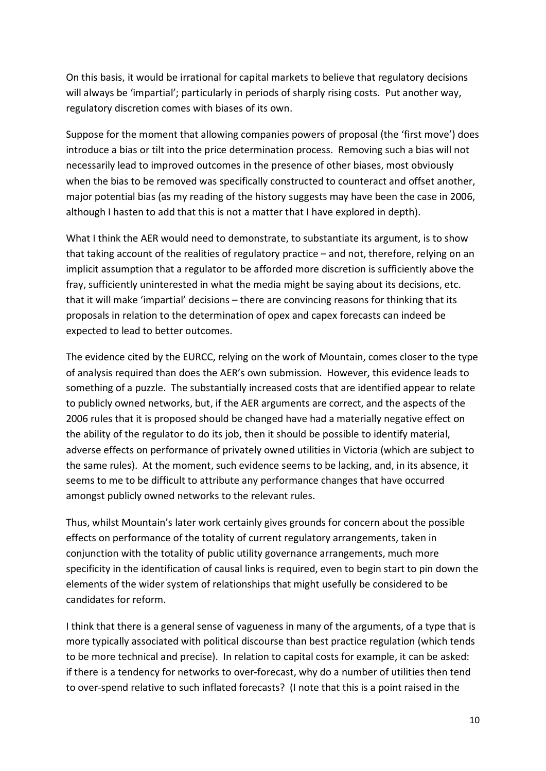On this basis, it would be irrational for capital markets to believe that regulatory decisions will always be 'impartial'; particularly in periods of sharply rising costs. Put another way, regulatory discretion comes with biases of its own.

Suppose for the moment that allowing companies powers of proposal (the 'first move') does introduce a bias or tilt into the price determination process. Removing such a bias will not necessarily lead to improved outcomes in the presence of other biases, most obviously when the bias to be removed was specifically constructed to counteract and offset another, major potential bias (as my reading of the history suggests may have been the case in 2006, although I hasten to add that this is not a matter that I have explored in depth).

What I think the AER would need to demonstrate, to substantiate its argument, is to show that taking account of the realities of regulatory practice – and not, therefore, relying on an implicit assumption that a regulator to be afforded more discretion is sufficiently above the fray, sufficiently uninterested in what the media might be saying about its decisions, etc. that it will make 'impartial' decisions – there are convincing reasons for thinking that its proposals in relation to the determination of opex and capex forecasts can indeed be expected to lead to better outcomes.

The evidence cited by the EURCC, relying on the work of Mountain, comes closer to the type of analysis required than does the AER's own submission. However, this evidence leads to something of a puzzle. The substantially increased costs that are identified appear to relate to publicly owned networks, but, if the AER arguments are correct, and the aspects of the 2006 rules that it is proposed should be changed have had a materially negative effect on the ability of the regulator to do its job, then it should be possible to identify material, adverse effects on performance of privately owned utilities in Victoria (which are subject to the same rules). At the moment, such evidence seems to be lacking, and, in its absence, it seems to me to be difficult to attribute any performance changes that have occurred amongst publicly owned networks to the relevant rules.

Thus, whilst Mountain's later work certainly gives grounds for concern about the possible effects on performance of the totality of current regulatory arrangements, taken in conjunction with the totality of public utility governance arrangements, much more specificity in the identification of causal links is required, even to begin start to pin down the elements of the wider system of relationships that might usefully be considered to be candidates for reform.

I think that there is a general sense of vagueness in many of the arguments, of a type that is more typically associated with political discourse than best practice regulation (which tends to be more technical and precise). In relation to capital costs for example, it can be asked: if there is a tendency for networks to over-forecast, why do a number of utilities then tend to over-spend relative to such inflated forecasts? (I note that this is a point raised in the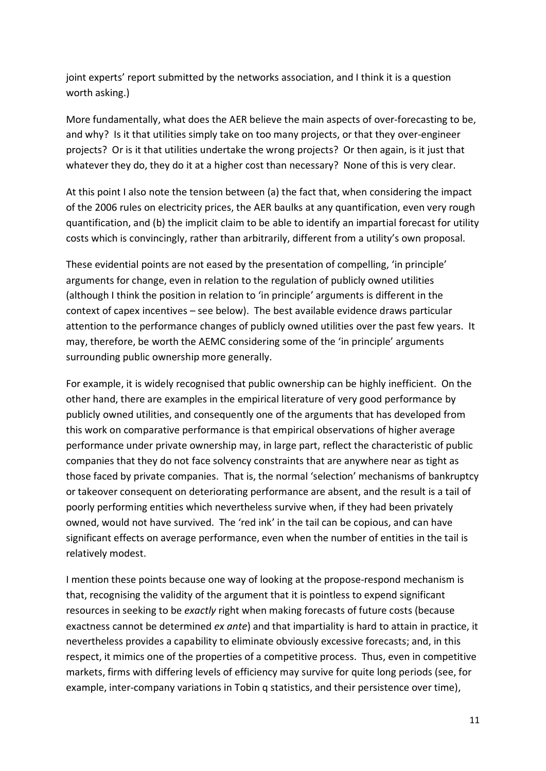joint experts' report submitted by the networks association, and I think it is a question worth asking.)

More fundamentally, what does the AER believe the main aspects of over-forecasting to be, and why? Is it that utilities simply take on too many projects, or that they over-engineer projects? Or is it that utilities undertake the wrong projects? Or then again, is it just that whatever they do, they do it at a higher cost than necessary? None of this is very clear.

At this point I also note the tension between (a) the fact that, when considering the impact of the 2006 rules on electricity prices, the AER baulks at any quantification, even very rough quantification, and (b) the implicit claim to be able to identify an impartial forecast for utility costs which is convincingly, rather than arbitrarily, different from a utility's own proposal.

These evidential points are not eased by the presentation of compelling, 'in principle' arguments for change, even in relation to the regulation of publicly owned utilities (although I think the position in relation to 'in principle' arguments is different in the context of capex incentives – see below). The best available evidence draws particular attention to the performance changes of publicly owned utilities over the past few years. It may, therefore, be worth the AEMC considering some of the 'in principle' arguments surrounding public ownership more generally.

For example, it is widely recognised that public ownership can be highly inefficient. On the other hand, there are examples in the empirical literature of very good performance by publicly owned utilities, and consequently one of the arguments that has developed from this work on comparative performance is that empirical observations of higher average performance under private ownership may, in large part, reflect the characteristic of public companies that they do not face solvency constraints that are anywhere near as tight as those faced by private companies. That is, the normal 'selection' mechanisms of bankruptcy or takeover consequent on deteriorating performance are absent, and the result is a tail of poorly performing entities which nevertheless survive when, if they had been privately owned, would not have survived. The 'red ink' in the tail can be copious, and can have significant effects on average performance, even when the number of entities in the tail is relatively modest.

I mention these points because one way of looking at the propose-respond mechanism is that, recognising the validity of the argument that it is pointless to expend significant resources in seeking to be *exactly* right when making forecasts of future costs (because exactness cannot be determined *ex ante*) and that impartiality is hard to attain in practice, it nevertheless provides a capability to eliminate obviously excessive forecasts; and, in this respect, it mimics one of the properties of a competitive process. Thus, even in competitive markets, firms with differing levels of efficiency may survive for quite long periods (see, for example, inter-company variations in Tobin q statistics, and their persistence over time),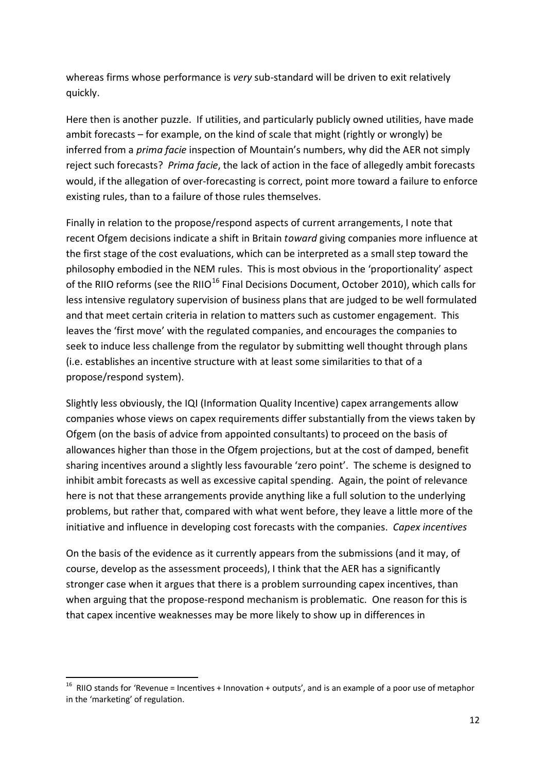whereas firms whose performance is *very* sub-standard will be driven to exit relatively quickly.

Here then is another puzzle. If utilities, and particularly publicly owned utilities, have made ambit forecasts – for example, on the kind of scale that might (rightly or wrongly) be inferred from a *prima facie* inspection of Mountain's numbers, why did the AER not simply reject such forecasts? *Prima facie*, the lack of action in the face of allegedly ambit forecasts would, if the allegation of over-forecasting is correct, point more toward a failure to enforce existing rules, than to a failure of those rules themselves.

Finally in relation to the propose/respond aspects of current arrangements, I note that recent Ofgem decisions indicate a shift in Britain *toward* giving companies more influence at the first stage of the cost evaluations, which can be interpreted as a small step toward the philosophy embodied in the NEM rules. This is most obvious in the 'proportionality' aspect of the RIIO reforms (see the RIIO<sup>[16](#page-11-0)</sup> Final Decisions Document, October 2010), which calls for less intensive regulatory supervision of business plans that are judged to be well formulated and that meet certain criteria in relation to matters such as customer engagement. This leaves the 'first move' with the regulated companies, and encourages the companies to seek to induce less challenge from the regulator by submitting well thought through plans (i.e. establishes an incentive structure with at least some similarities to that of a propose/respond system).

Slightly less obviously, the IQI (Information Quality Incentive) capex arrangements allow companies whose views on capex requirements differ substantially from the views taken by Ofgem (on the basis of advice from appointed consultants) to proceed on the basis of allowances higher than those in the Ofgem projections, but at the cost of damped, benefit sharing incentives around a slightly less favourable 'zero point'. The scheme is designed to inhibit ambit forecasts as well as excessive capital spending. Again, the point of relevance here is not that these arrangements provide anything like a full solution to the underlying problems, but rather that, compared with what went before, they leave a little more of the initiative and influence in developing cost forecasts with the companies. *Capex incentives*

On the basis of the evidence as it currently appears from the submissions (and it may, of course, develop as the assessment proceeds), I think that the AER has a significantly stronger case when it argues that there is a problem surrounding capex incentives, than when arguing that the propose-respond mechanism is problematic. One reason for this is that capex incentive weaknesses may be more likely to show up in differences in

<span id="page-11-0"></span><sup>&</sup>lt;sup>16</sup> RIIO stands for 'Revenue = Incentives + Innovation + outputs', and is an example of a poor use of metaphor in the 'marketing' of regulation.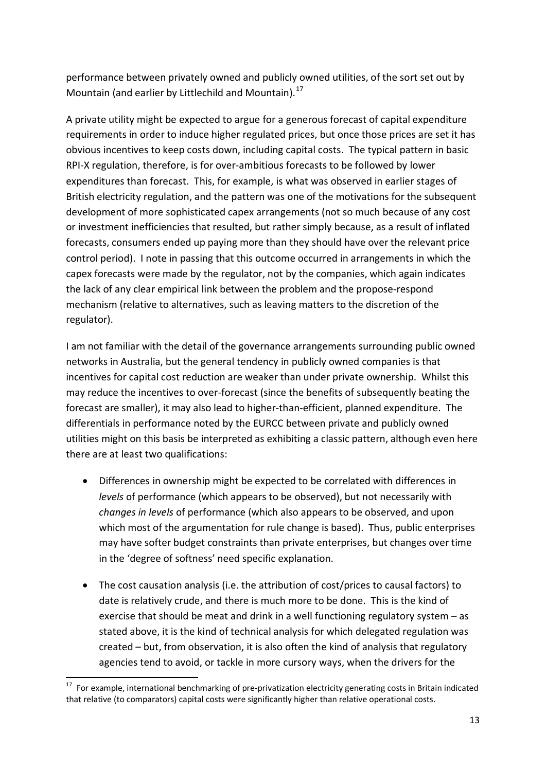performance between privately owned and publicly owned utilities, of the sort set out by Mountain (and earlier by Littlechild and Mountain).<sup>[17](#page-12-0)</sup>

A private utility might be expected to argue for a generous forecast of capital expenditure requirements in order to induce higher regulated prices, but once those prices are set it has obvious incentives to keep costs down, including capital costs. The typical pattern in basic RPI-X regulation, therefore, is for over-ambitious forecasts to be followed by lower expenditures than forecast. This, for example, is what was observed in earlier stages of British electricity regulation, and the pattern was one of the motivations for the subsequent development of more sophisticated capex arrangements (not so much because of any cost or investment inefficiencies that resulted, but rather simply because, as a result of inflated forecasts, consumers ended up paying more than they should have over the relevant price control period). I note in passing that this outcome occurred in arrangements in which the capex forecasts were made by the regulator, not by the companies, which again indicates the lack of any clear empirical link between the problem and the propose-respond mechanism (relative to alternatives, such as leaving matters to the discretion of the regulator).

I am not familiar with the detail of the governance arrangements surrounding public owned networks in Australia, but the general tendency in publicly owned companies is that incentives for capital cost reduction are weaker than under private ownership. Whilst this may reduce the incentives to over-forecast (since the benefits of subsequently beating the forecast are smaller), it may also lead to higher-than-efficient, planned expenditure. The differentials in performance noted by the EURCC between private and publicly owned utilities might on this basis be interpreted as exhibiting a classic pattern, although even here there are at least two qualifications:

- Differences in ownership might be expected to be correlated with differences in *levels* of performance (which appears to be observed), but not necessarily with *changes in levels* of performance (which also appears to be observed, and upon which most of the argumentation for rule change is based). Thus, public enterprises may have softer budget constraints than private enterprises, but changes over time in the 'degree of softness' need specific explanation.
- The cost causation analysis (i.e. the attribution of cost/prices to causal factors) to date is relatively crude, and there is much more to be done. This is the kind of exercise that should be meat and drink in a well functioning regulatory system – as stated above, it is the kind of technical analysis for which delegated regulation was created – but, from observation, it is also often the kind of analysis that regulatory agencies tend to avoid, or tackle in more cursory ways, when the drivers for the

<span id="page-12-0"></span><sup>&</sup>lt;sup>17</sup> For example, international benchmarking of pre-privatization electricity generating costs in Britain indicated that relative (to comparators) capital costs were significantly higher than relative operational costs.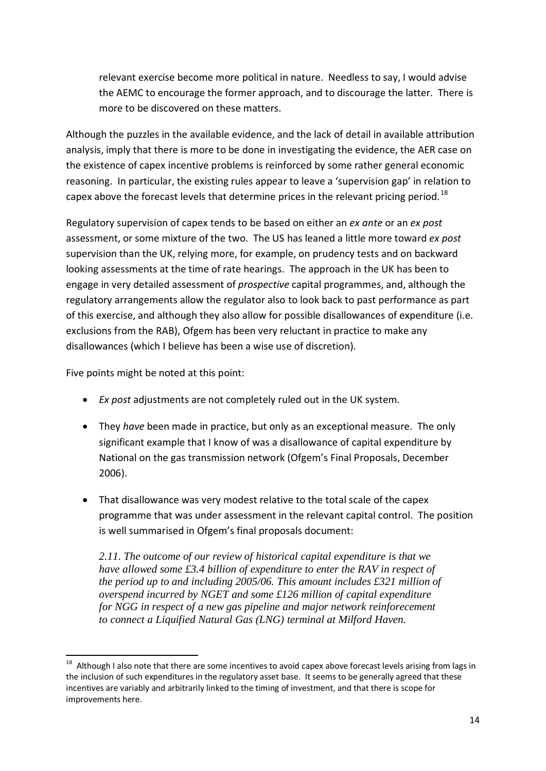relevant exercise become more political in nature. Needless to say, I would advise the AEMC to encourage the former approach, and to discourage the latter. There is more to be discovered on these matters.

Although the puzzles in the available evidence, and the lack of detail in available attribution analysis, imply that there is more to be done in investigating the evidence, the AER case on the existence of capex incentive problems is reinforced by some rather general economic reasoning. In particular, the existing rules appear to leave a 'supervision gap' in relation to capex above the forecast levels that determine prices in the relevant pricing period.<sup>[18](#page-13-0)</sup>

Regulatory supervision of capex tends to be based on either an *ex ante* or an *ex post* assessment, or some mixture of the two. The US has leaned a little more toward *ex post* supervision than the UK, relying more, for example, on prudency tests and on backward looking assessments at the time of rate hearings. The approach in the UK has been to engage in very detailed assessment of *prospective* capital programmes, and, although the regulatory arrangements allow the regulator also to look back to past performance as part of this exercise, and although they also allow for possible disallowances of expenditure (i.e. exclusions from the RAB), Ofgem has been very reluctant in practice to make any disallowances (which I believe has been a wise use of discretion).

Five points might be noted at this point:

- *Ex post* adjustments are not completely ruled out in the UK system.
- They *have* been made in practice, but only as an exceptional measure. The only significant example that I know of was a disallowance of capital expenditure by National on the gas transmission network (Ofgem's Final Proposals, December 2006).
- That disallowance was very modest relative to the total scale of the capex programme that was under assessment in the relevant capital control. The position is well summarised in Ofgem's final proposals document:

*2.11. The outcome of our review of historical capital expenditure is that we have allowed some £3.4 billion of expenditure to enter the RAV in respect of the period up to and including 2005/06. This amount includes £321 million of overspend incurred by NGET and some £126 million of capital expenditure for NGG in respect of a new gas pipeline and major network reinforecement to connect a Liquified Natural Gas (LNG) terminal at Milford Haven.*

<span id="page-13-0"></span> $18$  Although I also note that there are some incentives to avoid capex above forecast levels arising from lags in the inclusion of such expenditures in the regulatory asset base. It seems to be generally agreed that these incentives are variably and arbitrarily linked to the timing of investment, and that there is scope for improvements here.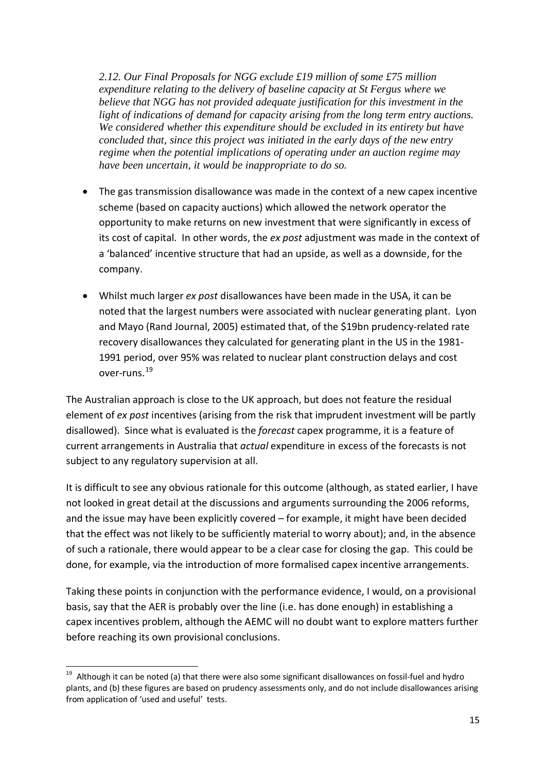*2.12. Our Final Proposals for NGG exclude £19 million of some £75 million expenditure relating to the delivery of baseline capacity at St Fergus where we believe that NGG has not provided adequate justification for this investment in the light of indications of demand for capacity arising from the long term entry auctions. We considered whether this expenditure should be excluded in its entirety but have concluded that, since this project was initiated in the early days of the new entry regime when the potential implications of operating under an auction regime may have been uncertain, it would be inappropriate to do so.*

- The gas transmission disallowance was made in the context of a new capex incentive scheme (based on capacity auctions) which allowed the network operator the opportunity to make returns on new investment that were significantly in excess of its cost of capital. In other words, the *ex post* adjustment was made in the context of a 'balanced' incentive structure that had an upside, as well as a downside, for the company.
- Whilst much larger *ex post* disallowances have been made in the USA, it can be noted that the largest numbers were associated with nuclear generating plant. Lyon and Mayo (Rand Journal, 2005) estimated that, of the \$19bn prudency-related rate recovery disallowances they calculated for generating plant in the US in the 1981- 1991 period, over 95% was related to nuclear plant construction delays and cost over-runs.[19](#page-14-0)

The Australian approach is close to the UK approach, but does not feature the residual element of *ex post* incentives (arising from the risk that imprudent investment will be partly disallowed). Since what is evaluated is the *forecast* capex programme, it is a feature of current arrangements in Australia that *actual* expenditure in excess of the forecasts is not subject to any regulatory supervision at all.

It is difficult to see any obvious rationale for this outcome (although, as stated earlier, I have not looked in great detail at the discussions and arguments surrounding the 2006 reforms, and the issue may have been explicitly covered – for example, it might have been decided that the effect was not likely to be sufficiently material to worry about); and, in the absence of such a rationale, there would appear to be a clear case for closing the gap. This could be done, for example, via the introduction of more formalised capex incentive arrangements.

Taking these points in conjunction with the performance evidence, I would, on a provisional basis, say that the AER is probably over the line (i.e. has done enough) in establishing a capex incentives problem, although the AEMC will no doubt want to explore matters further before reaching its own provisional conclusions.

<span id="page-14-0"></span><sup>&</sup>lt;sup>19</sup> Although it can be noted (a) that there were also some significant disallowances on fossil-fuel and hydro plants, and (b) these figures are based on prudency assessments only, and do not include disallowances arising from application of 'used and useful' tests.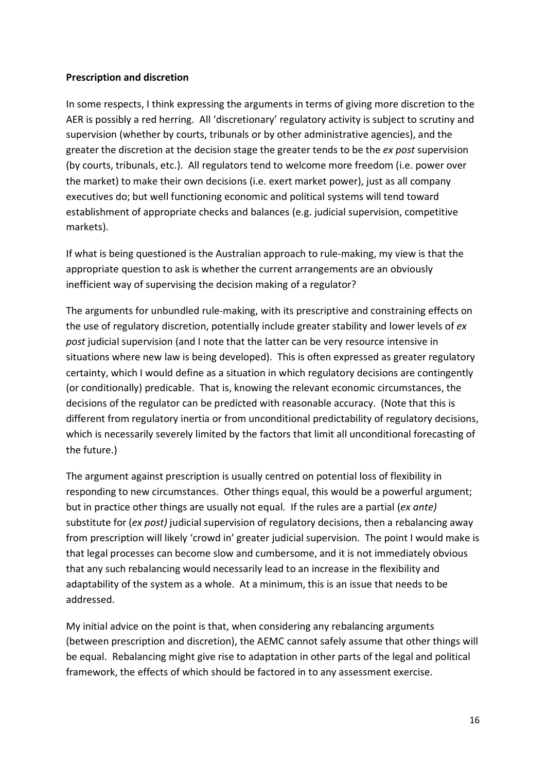#### **Prescription and discretion**

In some respects, I think expressing the arguments in terms of giving more discretion to the AER is possibly a red herring. All 'discretionary' regulatory activity is subject to scrutiny and supervision (whether by courts, tribunals or by other administrative agencies), and the greater the discretion at the decision stage the greater tends to be the *ex post* supervision (by courts, tribunals, etc.). All regulators tend to welcome more freedom (i.e. power over the market) to make their own decisions (i.e. exert market power), just as all company executives do; but well functioning economic and political systems will tend toward establishment of appropriate checks and balances (e.g. judicial supervision, competitive markets).

If what is being questioned is the Australian approach to rule-making, my view is that the appropriate question to ask is whether the current arrangements are an obviously inefficient way of supervising the decision making of a regulator?

The arguments for unbundled rule-making, with its prescriptive and constraining effects on the use of regulatory discretion, potentially include greater stability and lower levels of *ex*  post judicial supervision (and I note that the latter can be very resource intensive in situations where new law is being developed). This is often expressed as greater regulatory certainty, which I would define as a situation in which regulatory decisions are contingently (or conditionally) predicable. That is, knowing the relevant economic circumstances, the decisions of the regulator can be predicted with reasonable accuracy. (Note that this is different from regulatory inertia or from unconditional predictability of regulatory decisions, which is necessarily severely limited by the factors that limit all unconditional forecasting of the future.)

The argument against prescription is usually centred on potential loss of flexibility in responding to new circumstances. Other things equal, this would be a powerful argument; but in practice other things are usually not equal. If the rules are a partial (*ex ante)*  substitute for (*ex post)* judicial supervision of regulatory decisions, then a rebalancing away from prescription will likely 'crowd in' greater judicial supervision. The point I would make is that legal processes can become slow and cumbersome, and it is not immediately obvious that any such rebalancing would necessarily lead to an increase in the flexibility and adaptability of the system as a whole. At a minimum, this is an issue that needs to be addressed.

My initial advice on the point is that, when considering any rebalancing arguments (between prescription and discretion), the AEMC cannot safely assume that other things will be equal. Rebalancing might give rise to adaptation in other parts of the legal and political framework, the effects of which should be factored in to any assessment exercise.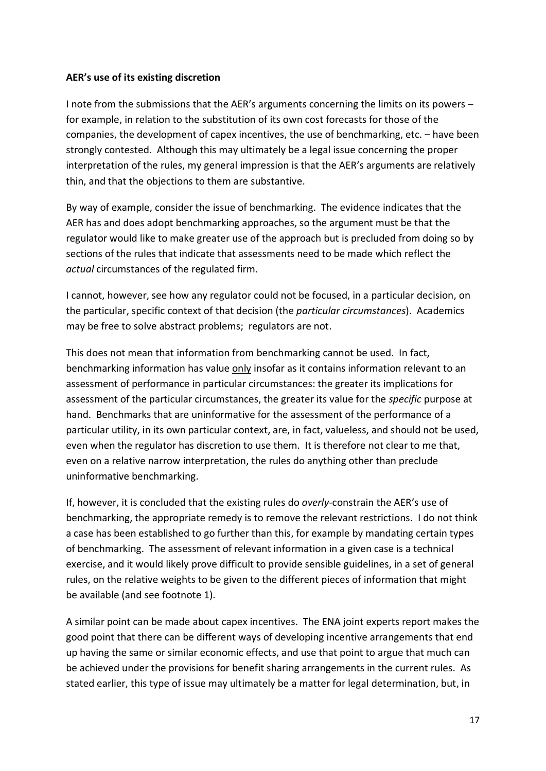#### **AER's use of its existing discretion**

I note from the submissions that the AER's arguments concerning the limits on its powers – for example, in relation to the substitution of its own cost forecasts for those of the companies, the development of capex incentives, the use of benchmarking, etc. – have been strongly contested. Although this may ultimately be a legal issue concerning the proper interpretation of the rules, my general impression is that the AER's arguments are relatively thin, and that the objections to them are substantive.

By way of example, consider the issue of benchmarking. The evidence indicates that the AER has and does adopt benchmarking approaches, so the argument must be that the regulator would like to make greater use of the approach but is precluded from doing so by sections of the rules that indicate that assessments need to be made which reflect the *actual* circumstances of the regulated firm.

I cannot, however, see how any regulator could not be focused, in a particular decision, on the particular, specific context of that decision (the *particular circumstances*). Academics may be free to solve abstract problems; regulators are not.

This does not mean that information from benchmarking cannot be used. In fact, benchmarking information has value only insofar as it contains information relevant to an assessment of performance in particular circumstances: the greater its implications for assessment of the particular circumstances, the greater its value for the *specific* purpose at hand. Benchmarks that are uninformative for the assessment of the performance of a particular utility, in its own particular context, are, in fact, valueless, and should not be used, even when the regulator has discretion to use them. It is therefore not clear to me that, even on a relative narrow interpretation, the rules do anything other than preclude uninformative benchmarking.

If, however, it is concluded that the existing rules do *overly*-constrain the AER's use of benchmarking, the appropriate remedy is to remove the relevant restrictions. I do not think a case has been established to go further than this, for example by mandating certain types of benchmarking. The assessment of relevant information in a given case is a technical exercise, and it would likely prove difficult to provide sensible guidelines, in a set of general rules, on the relative weights to be given to the different pieces of information that might be available (and see footnote 1).

A similar point can be made about capex incentives. The ENA joint experts report makes the good point that there can be different ways of developing incentive arrangements that end up having the same or similar economic effects, and use that point to argue that much can be achieved under the provisions for benefit sharing arrangements in the current rules. As stated earlier, this type of issue may ultimately be a matter for legal determination, but, in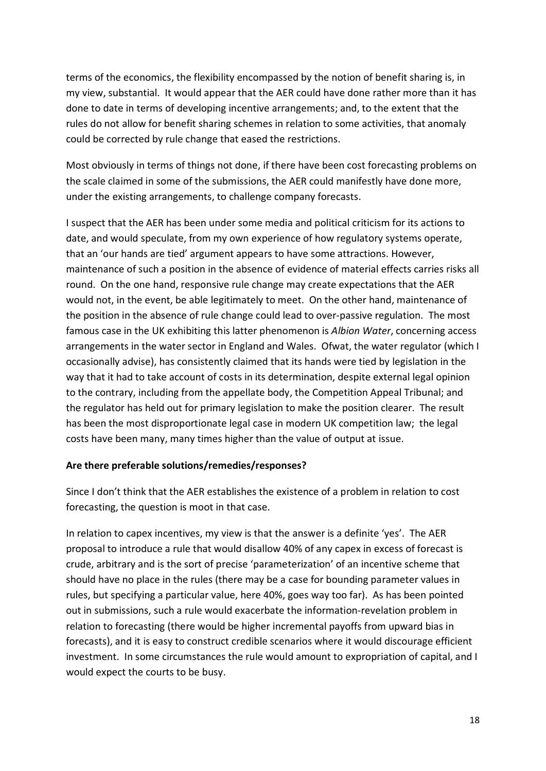terms of the economics, the flexibility encompassed by the notion of benefit sharing is, in my view, substantial. It would appear that the AER could have done rather more than it has done to date in terms of developing incentive arrangements; and, to the extent that the rules do not allow for benefit sharing schemes in relation to some activities, that anomaly could be corrected by rule change that eased the restrictions.

Most obviously in terms of things not done, if there have been cost forecasting problems on the scale claimed in some of the submissions, the AER could manifestly have done more, under the existing arrangements, to challenge company forecasts.

I suspect that the AER has been under some media and political criticism for its actions to date, and would speculate, from my own experience of how regulatory systems operate, that an 'our hands are tied' argument appears to have some attractions. However, maintenance of such a position in the absence of evidence of material effects carries risks all round. On the one hand, responsive rule change may create expectations that the AER would not, in the event, be able legitimately to meet. On the other hand, maintenance of the position in the absence of rule change could lead to over-passive regulation. The most famous case in the UK exhibiting this latter phenomenon is *Albion Water*, concerning access arrangements in the water sector in England and Wales. Ofwat, the water regulator (which I occasionally advise), has consistently claimed that its hands were tied by legislation in the way that it had to take account of costs in its determination, despite external legal opinion to the contrary, including from the appellate body, the Competition Appeal Tribunal; and the regulator has held out for primary legislation to make the position clearer. The result has been the most disproportionate legal case in modern UK competition law; the legal costs have been many, many times higher than the value of output at issue.

### **Are there preferable solutions/remedies/responses?**

Since I don't think that the AER establishes the existence of a problem in relation to cost forecasting, the question is moot in that case.

In relation to capex incentives, my view is that the answer is a definite 'yes'. The AER proposal to introduce a rule that would disallow 40% of any capex in excess of forecast is crude, arbitrary and is the sort of precise 'parameterization' of an incentive scheme that should have no place in the rules (there may be a case for bounding parameter values in rules, but specifying a particular value, here 40%, goes way too far). As has been pointed out in submissions, such a rule would exacerbate the information-revelation problem in relation to forecasting (there would be higher incremental payoffs from upward bias in forecasts), and it is easy to construct credible scenarios where it would discourage efficient investment. In some circumstances the rule would amount to expropriation of capital, and I would expect the courts to be busy.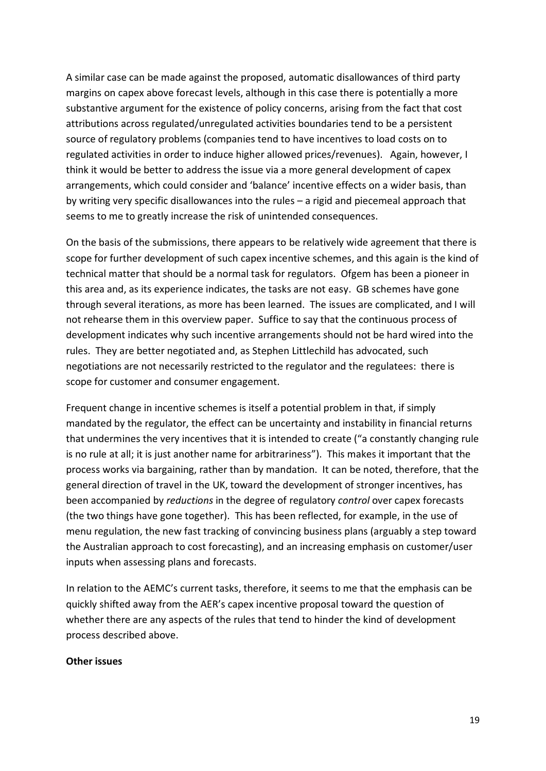A similar case can be made against the proposed, automatic disallowances of third party margins on capex above forecast levels, although in this case there is potentially a more substantive argument for the existence of policy concerns, arising from the fact that cost attributions across regulated/unregulated activities boundaries tend to be a persistent source of regulatory problems (companies tend to have incentives to load costs on to regulated activities in order to induce higher allowed prices/revenues). Again, however, I think it would be better to address the issue via a more general development of capex arrangements, which could consider and 'balance' incentive effects on a wider basis, than by writing very specific disallowances into the rules – a rigid and piecemeal approach that seems to me to greatly increase the risk of unintended consequences.

On the basis of the submissions, there appears to be relatively wide agreement that there is scope for further development of such capex incentive schemes, and this again is the kind of technical matter that should be a normal task for regulators. Ofgem has been a pioneer in this area and, as its experience indicates, the tasks are not easy. GB schemes have gone through several iterations, as more has been learned. The issues are complicated, and I will not rehearse them in this overview paper. Suffice to say that the continuous process of development indicates why such incentive arrangements should not be hard wired into the rules. They are better negotiated and, as Stephen Littlechild has advocated, such negotiations are not necessarily restricted to the regulator and the regulatees: there is scope for customer and consumer engagement.

Frequent change in incentive schemes is itself a potential problem in that, if simply mandated by the regulator, the effect can be uncertainty and instability in financial returns that undermines the very incentives that it is intended to create ("a constantly changing rule is no rule at all; it is just another name for arbitrariness"). This makes it important that the process works via bargaining, rather than by mandation. It can be noted, therefore, that the general direction of travel in the UK, toward the development of stronger incentives, has been accompanied by *reductions* in the degree of regulatory *control* over capex forecasts (the two things have gone together). This has been reflected, for example, in the use of menu regulation, the new fast tracking of convincing business plans (arguably a step toward the Australian approach to cost forecasting), and an increasing emphasis on customer/user inputs when assessing plans and forecasts.

In relation to the AEMC's current tasks, therefore, it seems to me that the emphasis can be quickly shifted away from the AER's capex incentive proposal toward the question of whether there are any aspects of the rules that tend to hinder the kind of development process described above.

#### **Other issues**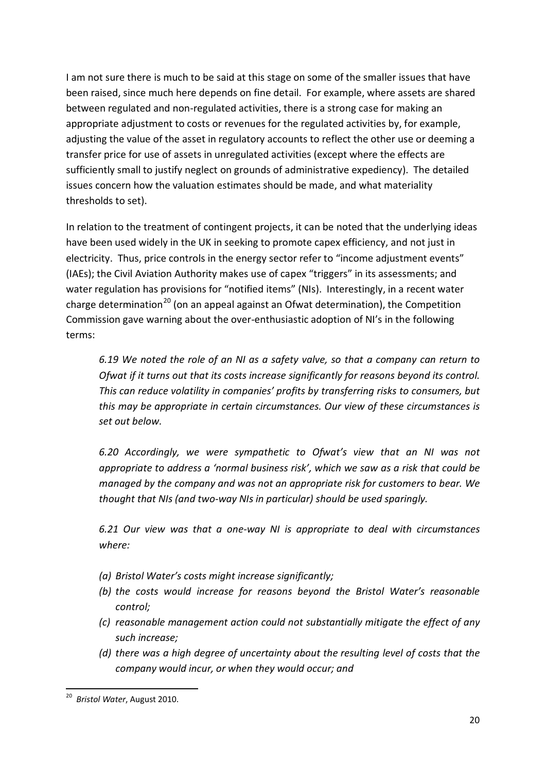I am not sure there is much to be said at this stage on some of the smaller issues that have been raised, since much here depends on fine detail. For example, where assets are shared between regulated and non-regulated activities, there is a strong case for making an appropriate adjustment to costs or revenues for the regulated activities by, for example, adjusting the value of the asset in regulatory accounts to reflect the other use or deeming a transfer price for use of assets in unregulated activities (except where the effects are sufficiently small to justify neglect on grounds of administrative expediency). The detailed issues concern how the valuation estimates should be made, and what materiality thresholds to set).

In relation to the treatment of contingent projects, it can be noted that the underlying ideas have been used widely in the UK in seeking to promote capex efficiency, and not just in electricity. Thus, price controls in the energy sector refer to "income adjustment events" (IAEs); the Civil Aviation Authority makes use of capex "triggers" in its assessments; and water regulation has provisions for "notified items" (NIs). Interestingly, in a recent water charge determination<sup>[20](#page-19-0)</sup> (on an appeal against an Ofwat determination), the Competition Commission gave warning about the over-enthusiastic adoption of NI's in the following terms:

*6.19 We noted the role of an NI as a safety valve, so that a company can return to Ofwat if it turns out that its costs increase significantly for reasons beyond its control. This can reduce volatility in companies' profits by transferring risks to consumers, but this may be appropriate in certain circumstances. Our view of these circumstances is set out below.*

*6.20 Accordingly, we were sympathetic to Ofwat's view that an NI was not appropriate to address a 'normal business risk', which we saw as a risk that could be managed by the company and was not an appropriate risk for customers to bear. We thought that NIs (and two-way NIs in particular) should be used sparingly.*

*6.21 Our view was that a one-way NI is appropriate to deal with circumstances where:* 

- *(a) Bristol Water's costs might increase significantly;*
- *(b) the costs would increase for reasons beyond the Bristol Water's reasonable control;*
- *(c) reasonable management action could not substantially mitigate the effect of any such increase;*
- *(d) there was a high degree of uncertainty about the resulting level of costs that the company would incur, or when they would occur; and*

<span id="page-19-0"></span> <sup>20</sup> *Bristol Water*, August 2010.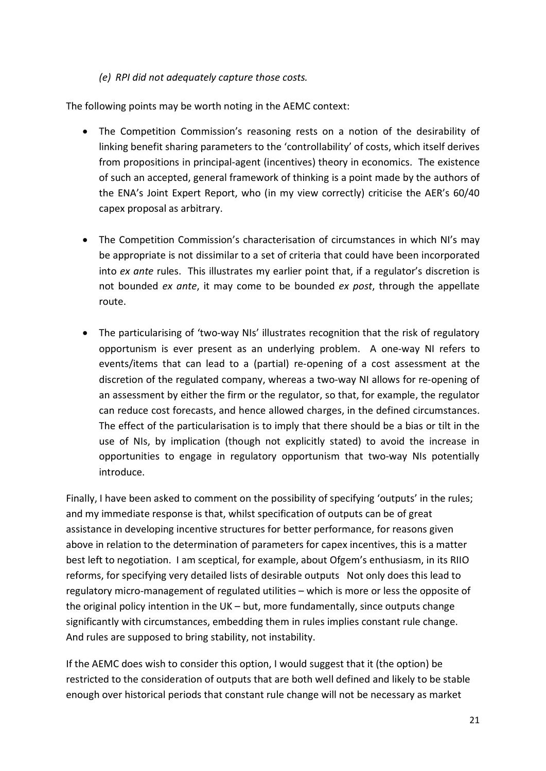### *(e) RPI did not adequately capture those costs.*

The following points may be worth noting in the AEMC context:

- The Competition Commission's reasoning rests on a notion of the desirability of linking benefit sharing parameters to the 'controllability' of costs, which itself derives from propositions in principal-agent (incentives) theory in economics. The existence of such an accepted, general framework of thinking is a point made by the authors of the ENA's Joint Expert Report, who (in my view correctly) criticise the AER's 60/40 capex proposal as arbitrary.
- The Competition Commission's characterisation of circumstances in which NI's may be appropriate is not dissimilar to a set of criteria that could have been incorporated into *ex ante* rules. This illustrates my earlier point that, if a regulator's discretion is not bounded *ex ante*, it may come to be bounded *ex post*, through the appellate route.
- The particularising of 'two-way NIs' illustrates recognition that the risk of regulatory opportunism is ever present as an underlying problem. A one-way NI refers to events/items that can lead to a (partial) re-opening of a cost assessment at the discretion of the regulated company, whereas a two-way NI allows for re-opening of an assessment by either the firm or the regulator, so that, for example, the regulator can reduce cost forecasts, and hence allowed charges, in the defined circumstances. The effect of the particularisation is to imply that there should be a bias or tilt in the use of NIs, by implication (though not explicitly stated) to avoid the increase in opportunities to engage in regulatory opportunism that two-way NIs potentially introduce.

Finally, I have been asked to comment on the possibility of specifying 'outputs' in the rules; and my immediate response is that, whilst specification of outputs can be of great assistance in developing incentive structures for better performance, for reasons given above in relation to the determination of parameters for capex incentives, this is a matter best left to negotiation. I am sceptical, for example, about Ofgem's enthusiasm, in its RIIO reforms, for specifying very detailed lists of desirable outputs Not only does this lead to regulatory micro-management of regulated utilities – which is more or less the opposite of the original policy intention in the UK – but, more fundamentally, since outputs change significantly with circumstances, embedding them in rules implies constant rule change. And rules are supposed to bring stability, not instability.

If the AEMC does wish to consider this option, I would suggest that it (the option) be restricted to the consideration of outputs that are both well defined and likely to be stable enough over historical periods that constant rule change will not be necessary as market